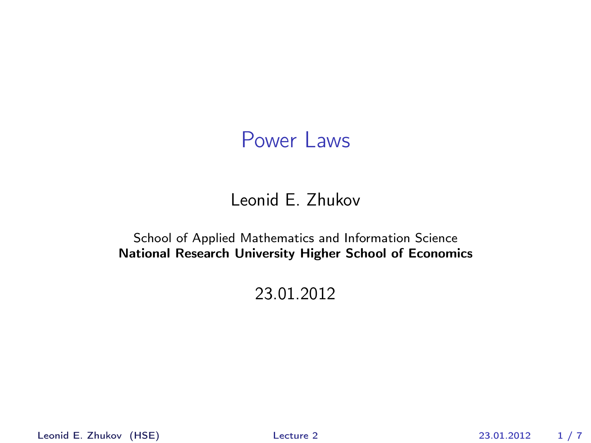#### Leonid E. Zhukov

#### School of Applied Mathematics and Information Science National Research University Higher School of Economics

#### 23.01.2012

Leonid E. Zhukov (HSE) [Lecture 2](#page-6-0) 23.01.2012 1 / 7

<span id="page-0-0"></span>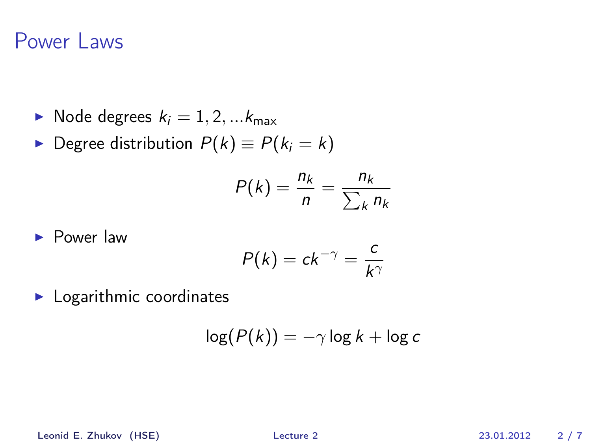- $\blacktriangleright$  Node degrees  $k_i = 1, 2, ... k_{\text{max}}$
- **►** Degree distribution  $P(k) \equiv P(k_i = k)$

$$
P(k) = \frac{n_k}{n} = \frac{n_k}{\sum_k n_k}
$$

 $\blacktriangleright$  Power law

$$
P(k) = ck^{-\gamma} = \frac{c}{k^{\gamma}}
$$

 $\blacktriangleright$  Logarithmic coordinates

$$
\log(P(k)) = -\gamma \log k + \log c
$$

Leonid E. Zhukov (HSE) [Lecture 2](#page-0-0) 23.01.2012 2 / 7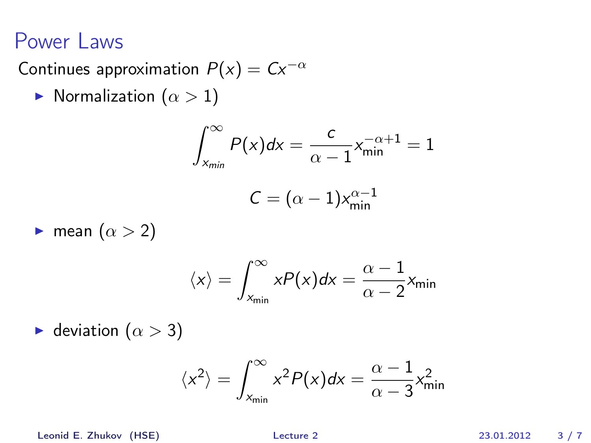Continues approximation  $P(x) = Cx^{-\alpha}$ 

 $\blacktriangleright$  Normalization  $(\alpha > 1)$ 

$$
\int_{x_{min}}^{\infty} P(x)dx = \frac{c}{\alpha - 1} x_{min}^{-\alpha + 1} = 1
$$

$$
C = (\alpha - 1) x_{min}^{\alpha - 1}
$$

**I** mean  $(\alpha > 2)$ 

$$
\langle x \rangle = \int_{x_{\min}}^{\infty} xP(x)dx = \frac{\alpha - 1}{\alpha - 2}x_{\min}
$$

 $\blacktriangleright$  deviation  $(\alpha > 3)$ 

$$
\langle x^2 \rangle = \int_{x_{\text{min}}}^{\infty} x^2 P(x) dx = \frac{\alpha - 1}{\alpha - 3} x_{\text{min}}^2
$$

Leonid E. Zhukov (HSE) [Lecture 2](#page-0-0) 23.01.2012 3 / 7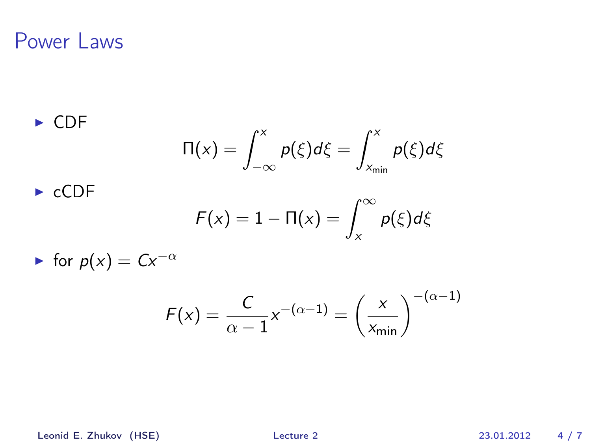$\triangleright$  CDF  $\Pi(x) = \int^x$ −∞  $p(\xi)d\xi=\int^x$  $x_{\min}$  $\rho(\xi)d\xi$ 

$$
\blacktriangleright
$$
 cCDF

$$
F(x) = 1 - \Pi(x) = \int_x^{\infty} p(\xi) d\xi
$$

 $\triangleright$  for  $p(x) = Cx^{-\alpha}$ 

$$
F(x) = \frac{C}{\alpha - 1} x^{-(\alpha - 1)} = \left(\frac{x}{x_{\min}}\right)^{-(\alpha - 1)}
$$

Leonid E. Zhukov (HSE) [Lecture 2](#page-0-0) 23.01.2012 4 / 7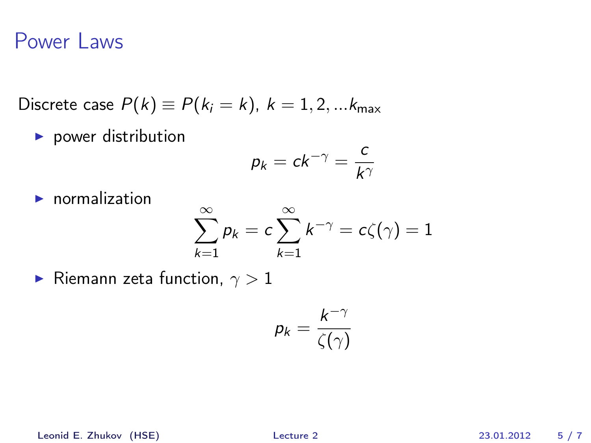Discrete case  $P(k) \equiv P(k_i = k)$ ,  $k = 1, 2, ... k_{max}$ 

 $\blacktriangleright$  power distribution

$$
p_k = ck^{-\gamma} = \frac{c}{k^{\gamma}}
$$

 $\blacktriangleright$  normalization

$$
\sum_{k=1}^{\infty} p_k = c \sum_{k=1}^{\infty} k^{-\gamma} = c\zeta(\gamma) = 1
$$

**Fig. 2** Riemann zeta function,  $\gamma > 1$ 

$$
p_k = \frac{k^{-\gamma}}{\zeta(\gamma)}
$$

Leonid E. Zhukov (HSE) [Lecture 2](#page-0-0) 23.01.2012 5 / 7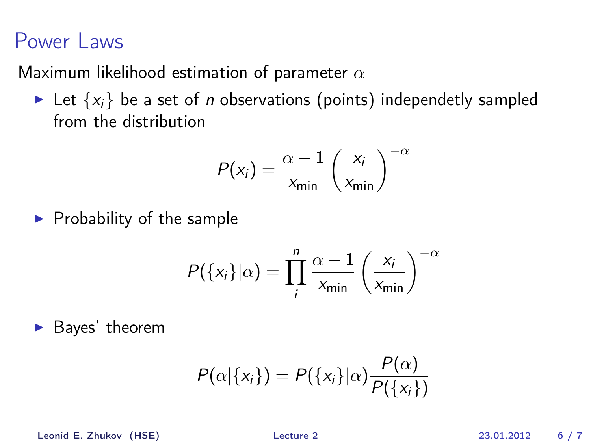Maximum likelihood estimation of parameter  $\alpha$ 

Exampled Let  $\{x_i\}$  be a set of *n* observations (points) independetly sampled from the distribution

$$
P(x_i) = \frac{\alpha - 1}{x_{\min}} \left(\frac{x_i}{x_{\min}}\right)^{-\alpha}
$$

 $\blacktriangleright$  Probability of the sample

$$
P({xi}|\alpha) = \prod_{i}^{n} \frac{\alpha - 1}{x_{\min}} \left(\frac{x_i}{x_{\min}}\right)^{-\alpha}
$$

 $\blacktriangleright$  Bayes' theorem

$$
P(\alpha|\{x_i\}) = P(\{x_i\}|\alpha) \frac{P(\alpha)}{P(\{x_i\})}
$$

Leonid E. Zhukov (HSE) [Lecture 2](#page-0-0) 23.01.2012 6 / 7